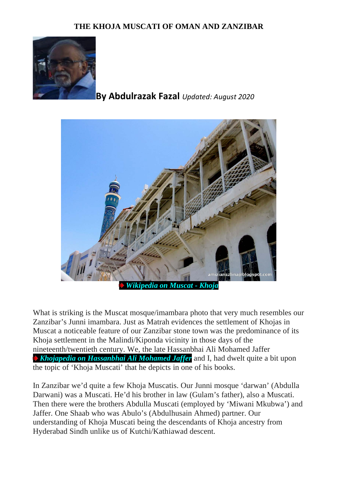## **THE KHOJA MUSCATI OF OMAN AND ZANZIBAR**



## **By Abdulrazak Fazal** *Updated: August 2020*



What is striking is the Muscat mosque/imambara photo that very much resembles our Zanzibar's Junni imambara. Just as Matrah evidences the settlement of Khojas in Muscat a noticeable feature of our Zanzibar stone town was the predominance of its Khoja settlement in the Malindi/Kiponda vicinity in those days of the nineteenth/twentieth century. We, the late Hassanbhai Ali Mohamed Jaffer *[Khojapedia on Hassanbhai Ali Mohamed Jaffer](http://khojapedia.com/wiki/index.php?title=Hassan_Ali_M_Jaffer)* and I, had dwelt quite a bit upon the topic of 'Khoja Muscati' that he depicts in one of his books.

In Zanzibar we'd quite a few Khoja Muscatis. Our Junni mosque 'darwan' (Abdulla Darwani) was a Muscati. He'd his brother in law (Gulam's father), also a Muscati. Then there were the brothers Abdulla Muscati (employed by 'Miwani Mkubwa') and Jaffer. One Shaab who was Abulo's (Abdulhusain Ahmed) partner. Our understanding of Khoja Muscati being the descendants of Khoja ancestry from Hyderabad Sindh unlike us of Kutchi/Kathiawad descent.